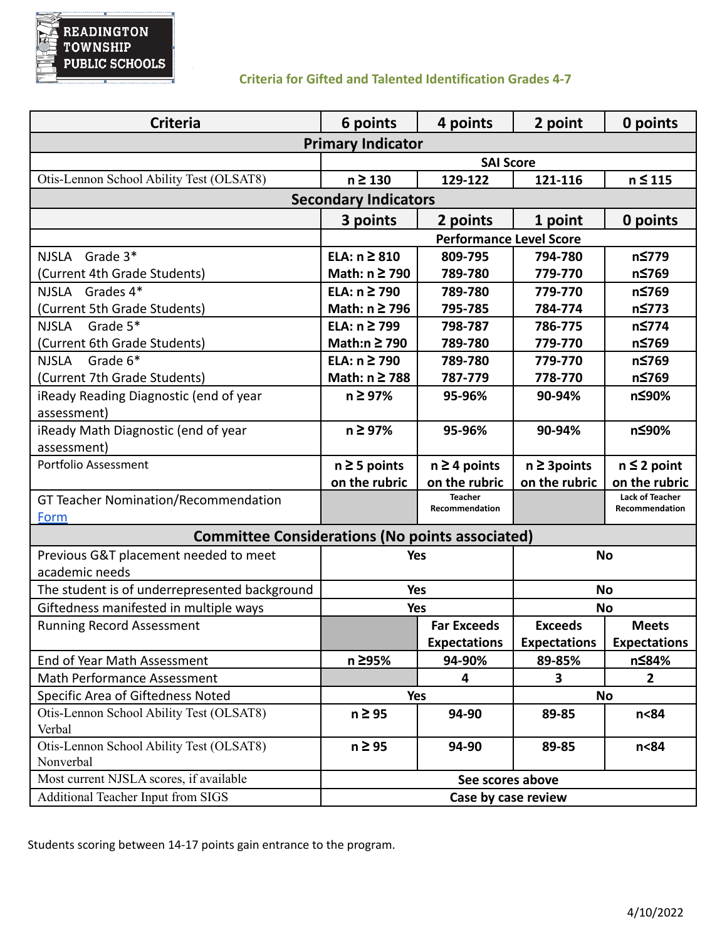## **Criteria for Gifted and Talented Identification Grades 4-7**

| <b>Criteria</b>                                        | 6 points                       | 4 points                         | 2 point             | 0 points                                 |
|--------------------------------------------------------|--------------------------------|----------------------------------|---------------------|------------------------------------------|
| <b>Primary Indicator</b>                               |                                |                                  |                     |                                          |
|                                                        |                                | <b>SAI Score</b>                 |                     |                                          |
| Otis-Lennon School Ability Test (OLSAT8)               | $n \geq 130$                   | 129-122                          | 121-116             | $n \leq 115$                             |
| <b>Secondary Indicators</b>                            |                                |                                  |                     |                                          |
|                                                        | 3 points                       | 2 points                         | 1 point             | 0 points                                 |
|                                                        | <b>Performance Level Score</b> |                                  |                     |                                          |
| NJSLA Grade 3*                                         | ELA: $n \geq 810$              | 809-795                          | 794-780             | n≤779                                    |
| (Current 4th Grade Students)                           | Math: $n \ge 790$              | 789-780                          | 779-770             | n≤769                                    |
| NJSLA Grades 4*                                        | ELA: $n \geq 790$              | 789-780                          | 779-770             | n≤769                                    |
| (Current 5th Grade Students)                           | Math: $n \geq 796$             | 795-785                          | 784-774             | n≤773                                    |
| Grade 5*<br><b>NJSLA</b>                               | ELA: $n \geq 799$              | 798-787                          | 786-775             | n≤774                                    |
| (Current 6th Grade Students)                           | Math:n ≥ 790                   | 789-780                          | 779-770             | n≤769                                    |
| Grade 6*<br><b>NJSLA</b>                               | ELA: $n \ge 790$               | 789-780                          | 779-770             | n≤769                                    |
| (Current 7th Grade Students)                           | Math: n ≥ 788                  | 787-779                          | 778-770             | n≤769                                    |
| iReady Reading Diagnostic (end of year                 | n ≥ 97%                        | 95-96%                           | 90-94%              | n≤90%                                    |
| assessment)                                            |                                |                                  |                     |                                          |
| iReady Math Diagnostic (end of year                    | n ≥ 97%                        | 95-96%                           | 90-94%              | n≤90%                                    |
| assessment)                                            |                                |                                  |                     |                                          |
| Portfolio Assessment                                   | $n \geq 5$ points              | $n \geq 4$ points                | $n \geq 3$ points   | $n \leq 2$ point                         |
|                                                        | on the rubric                  | on the rubric                    | on the rubric       | on the rubric                            |
| GT Teacher Nomination/Recommendation                   |                                | <b>Teacher</b><br>Recommendation |                     | <b>Lack of Teacher</b><br>Recommendation |
| Form                                                   |                                |                                  |                     |                                          |
| <b>Committee Considerations (No points associated)</b> |                                |                                  |                     |                                          |
| Previous G&T placement needed to meet                  | <b>Yes</b>                     |                                  | <b>No</b>           |                                          |
| academic needs                                         |                                |                                  |                     |                                          |
| The student is of underrepresented background          | Yes                            |                                  | <b>No</b>           |                                          |
| Giftedness manifested in multiple ways                 | <b>Yes</b>                     |                                  | <b>No</b>           |                                          |
| <b>Running Record Assessment</b>                       |                                | <b>Far Exceeds</b>               | <b>Exceeds</b>      | <b>Meets</b>                             |
|                                                        |                                | <b>Expectations</b>              | <b>Expectations</b> | <b>Expectations</b>                      |
| End of Year Math Assessment                            | n ≥95%                         | 94-90%                           | 89-85%              | n≤84%                                    |
| Math Performance Assessment                            |                                | 4                                | 3                   | 2 <sup>1</sup>                           |
| Specific Area of Giftedness Noted                      | <b>Yes</b>                     |                                  | <b>No</b>           |                                          |
| Otis-Lennon School Ability Test (OLSAT8)               | $n \geq 95$                    | 94-90                            | 89-85               | n<84                                     |
| Verbal                                                 |                                |                                  |                     |                                          |
| Otis-Lennon School Ability Test (OLSAT8)               | $n \geq 95$                    | 94-90                            | 89-85               | n<84                                     |
| Nonverbal<br>Most current NJSLA scores, if available   |                                |                                  |                     |                                          |
|                                                        | See scores above               |                                  |                     |                                          |
| Additional Teacher Input from SIGS                     | Case by case review            |                                  |                     |                                          |

Students scoring between 14-17 points gain entrance to the program.